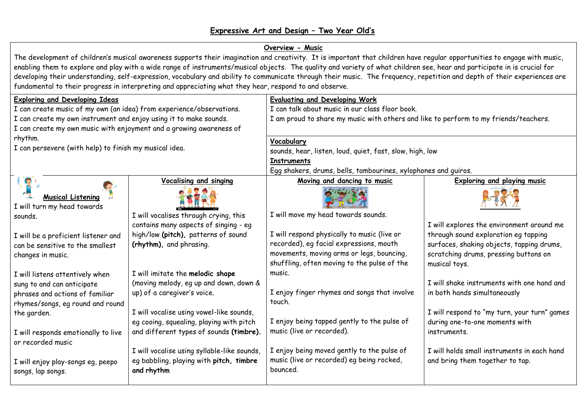## **Overview - Music**

The development of children's musical awareness supports their imagination and creativity. It is important that children have regular opportunities to engage with music, enabling them to explore and play with a wide range of instruments/musical objects. The quality and variety of what children see, hear and participate in is crucial for developing their understanding, self-expression, vocabulary and ability to communicate through their music. The frequency, repetition and depth of their experiences are fundamental to their progress in interpreting and appreciating what they hear, respond to and observe.

| <b>Exploring and Developing Ideas</b>                                |                                             | <b>Evaluating and Developing Work</b>                                                |                                              |  |
|----------------------------------------------------------------------|---------------------------------------------|--------------------------------------------------------------------------------------|----------------------------------------------|--|
| I can create music of my own (an idea) from experience/observations. |                                             | I can talk about music in our class floor book.                                      |                                              |  |
| I can create my own instrument and enjoy using it to make sounds.    |                                             | I am proud to share my music with others and like to perform to my friends/teachers. |                                              |  |
| I can create my own music with enjoyment and a growing awareness of  |                                             |                                                                                      |                                              |  |
| rhythm.                                                              |                                             | Vocabulary                                                                           |                                              |  |
| I can persevere (with help) to finish my musical idea.               |                                             | sounds, hear, listen, loud, quiet, fast, slow, high, low                             |                                              |  |
|                                                                      |                                             | <b>Instruments</b>                                                                   |                                              |  |
|                                                                      |                                             | Egg shakers, drums, bells, tambourines, xylophones and guiros.                       |                                              |  |
| $\sqrt[3]{2}$                                                        | <b>Vocalising and singing</b>               | Moving and dancing to music                                                          | <b>Exploring and playing music</b>           |  |
| <b>Musical Listening</b>                                             |                                             |                                                                                      |                                              |  |
| I will turn my head towards                                          |                                             |                                                                                      |                                              |  |
| sounds.                                                              | I will vocalises through crying, this       | I will move my head towards sounds.                                                  |                                              |  |
|                                                                      | contains many aspects of singing - eg       |                                                                                      | I will explores the environment around me    |  |
| I will be a proficient listener and                                  | high/low (pitch), patterns of sound         | I will respond physically to music (live or                                          | through sound exploration eg tapping         |  |
| can be sensitive to the smallest                                     | (rhythm), and phrasing.                     | recorded), eg facial expressions, mouth                                              | surfaces, shaking objects, tapping drums,    |  |
| changes in music.                                                    |                                             | movements, moving arms or legs, bouncing,                                            | scratching drums, pressing buttons on        |  |
|                                                                      |                                             | shuffling, often moving to the pulse of the                                          | musical toys.                                |  |
| I will listens attentively when                                      | I will imitate the melodic shape            | music.                                                                               |                                              |  |
| sung to and can anticipate                                           | (moving melody, eg up and down, down &      |                                                                                      | I will shake instruments with one hand and   |  |
| phrases and actions of familiar                                      | up) of a caregiver's voice.                 | I enjoy finger rhymes and songs that involve                                         | in both hands simultaneously                 |  |
| rhymes/songs, eg round and round                                     |                                             | touch.                                                                               |                                              |  |
| the garden.                                                          | I will vocalise using vowel-like sounds,    |                                                                                      | I will respond to "my turn, your turn" games |  |
|                                                                      | eg cooing, squealing, playing with pitch    | I enjoy being tapped gently to the pulse of                                          | during one-to-one moments with               |  |
| I will responds emotionally to live                                  | and different types of sounds (timbre).     | music (live or recorded).                                                            | instruments.                                 |  |
| or recorded music                                                    |                                             |                                                                                      |                                              |  |
|                                                                      | I will vocalise using syllable-like sounds, | I enjoy being moved gently to the pulse of                                           | I will holds small instruments in each hand  |  |
| I will enjoy play-songs eg, peepo                                    | eg babbling, playing with pitch, timbre     | music (live or recorded) eg being rocked,                                            | and bring them together to tap.              |  |
| songs, lap songs.                                                    | and rhythm                                  | bounced.                                                                             |                                              |  |
|                                                                      |                                             |                                                                                      |                                              |  |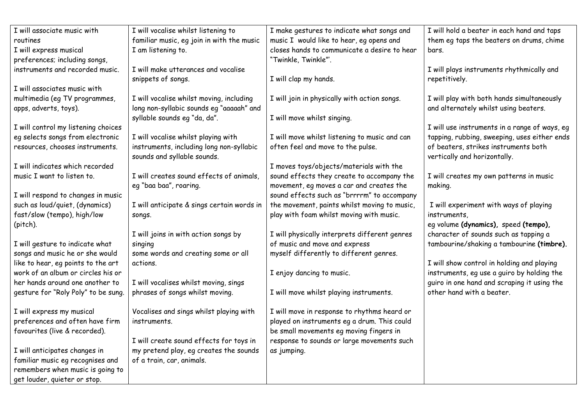| I will associate music with         | I will vocalise whilst listening to        | I make gestures to indicate what songs and    | I will hold a beater in each hand and taps    |
|-------------------------------------|--------------------------------------------|-----------------------------------------------|-----------------------------------------------|
| routines                            | familiar music, eg join in with the music  | music I would like to hear, eg opens and      | them eq taps the beaters on drums, chime      |
| I will express musical              | I am listening to.                         | closes hands to communicate a desire to hear  | bars.                                         |
| preferences; including songs,       |                                            | "Twinkle, Twinkle"'.                          |                                               |
| instruments and recorded music.     | I will make utterances and vocalise        |                                               | I will plays instruments rhythmically and     |
|                                     | snippets of songs.                         | I will clap my hands.                         | repetitively.                                 |
| I will associates music with        |                                            |                                               |                                               |
| multimedia (eg TV programmes,       | I will vocalise whilst moving, including   | I will join in physically with action songs.  | I will play with both hands simultaneously    |
| apps, adverts, toys).               | long non-syllabic sounds eg "aaaaah" and   |                                               | and alternately whilst using beaters.         |
|                                     | syllable sounds eg "da, da".               | I will move whilst singing.                   |                                               |
| I will control my listening choices |                                            |                                               | I will use instruments in a range of ways, eg |
| eg selects songs from electronic    | I will vocalise whilst playing with        | I will move whilst listening to music and can | tapping, rubbing, sweeping, uses either ends  |
| resources, chooses instruments.     | instruments, including long non-syllabic   | often feel and move to the pulse.             | of beaters, strikes instruments both          |
|                                     | sounds and syllable sounds.                |                                               | vertically and horizontally.                  |
| I will indicates which recorded     |                                            | I moves toys/objects/materials with the       |                                               |
| music I want to listen to.          | I will creates sound effects of animals,   | sound effects they create to accompany the    | I will creates my own patterns in music       |
|                                     | eg "baa baa", roaring.                     | movement, eg moves a car and creates the      | making.                                       |
| I will respond to changes in music  |                                            | sound effects such as "brrrrm" to accompany   |                                               |
| such as loud/quiet, (dynamics)      | I will anticipate & sings certain words in | the movement, paints whilst moving to music,  | I will experiment with ways of playing        |
| fast/slow (tempo), high/low         | songs.                                     | play with foam whilst moving with music.      | instruments.                                  |
| (pitch).                            |                                            |                                               | eg volume (dynamics), speed (tempo),          |
|                                     | I will joins in with action songs by       | I will physically interprets different genres | character of sounds such as tapping a         |
| I will gesture to indicate what     | singing                                    | of music and move and express                 | tambourine/shaking a tambourine (timbre).     |
| songs and music he or she would     | some words and creating some or all        | myself differently to different genres.       |                                               |
| like to hear, eg points to the art  | actions.                                   |                                               | I will show control in holding and playing    |
| work of an album or circles his or  |                                            | I enjoy dancing to music.                     | instruments, eg use a guiro by holding the    |
| her hands around one another to     | I will vocalises whilst moving, sings      |                                               | guiro in one hand and scraping it using the   |
| gesture for "Roly Poly" to be sung. | phrases of songs whilst moving.            | I will move whilst playing instruments.       | other hand with a beater.                     |
|                                     |                                            |                                               |                                               |
| I will express my musical           | Vocalises and sings whilst playing with    | I will move in response to rhythms heard or   |                                               |
| preferences and often have firm     | instruments.                               | played on instruments eg a drum. This could   |                                               |
| favourites (live & recorded).       |                                            | be small movements eg moving fingers in       |                                               |
|                                     | I will create sound effects for toys in    | response to sounds or large movements such    |                                               |
| I will anticipates changes in       | my pretend play, eg creates the sounds     | as jumping.                                   |                                               |
| familiar music eg recognises and    | of a train, car, animals.                  |                                               |                                               |
| remembers when music is going to    |                                            |                                               |                                               |
| get louder, quieter or stop.        |                                            |                                               |                                               |
|                                     |                                            |                                               |                                               |